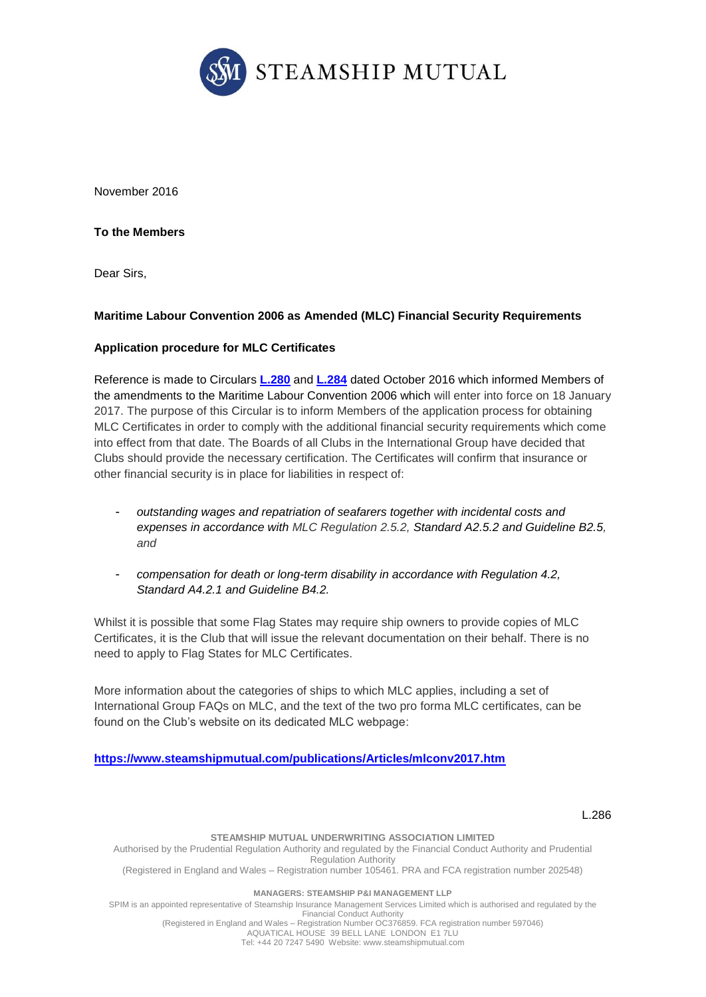

November 2016

**To the Members**

Dear Sirs,

## **Maritime Labour Convention 2006 as Amended (MLC) Financial Security Requirements**

#### **Application procedure for MLC Certificates**

Reference is made to Circulars **[L.280](https://www.steamshipmutual.com/Circulars-London/L.280.pdf)** and **[L.284](https://www.steamshipmutual.com/Circulars-London/L.284.pdf)** dated October 2016 which informed Members of the amendments to the Maritime Labour Convention 2006 which will enter into force on 18 January 2017. The purpose of this Circular is to inform Members of the application process for obtaining MLC Certificates in order to comply with the additional financial security requirements which come into effect from that date. The Boards of all Clubs in the International Group have decided that Clubs should provide the necessary certification. The Certificates will confirm that insurance or other financial security is in place for liabilities in respect of:

- *outstanding wages and repatriation of seafarers together with incidental costs and expenses in accordance with MLC Regulation 2.5.2, Standard A2.5.2 and Guideline B2.5, and*
- *compensation for death or long-term disability in accordance with Regulation 4.2, Standard A4.2.1 and Guideline B4.2.*

Whilst it is possible that some Flag States may require ship owners to provide copies of MLC Certificates, it is the Club that will issue the relevant documentation on their behalf. There is no need to apply to Flag States for MLC Certificates.

More information about the categories of ships to which MLC applies, including a set of International Group FAQs on MLC, and the text of the two pro forma MLC certificates, can be found on the Club's website on its dedicated MLC webpage:

**<https://www.steamshipmutual.com/publications/Articles/mlconv2017.htm>**

#### L.286

#### **STEAMSHIP MUTUAL UNDERWRITING ASSOCIATION LIMITED** Authorised by the Prudential Regulation Authority and regulated by the Financial Conduct Authority and Prudential Regulation Authority (Registered in England and Wales – Registration number 105461. PRA and FCA registration number 202548) **MANAGERS: STEAMSHIP P&I MANAGEMENT LLP** SPIM is an appointed representative of Steamship Insurance Management Services Limited which is authorised and regulated by the Financial Conduct Authority

(Registered in England and Wales – Registration Number OC376859. FCA registration number 597046) AQUATICAL HOUSE 39 BELL LANE LONDON E1 7LU Tel: +44 20 7247 5490 Website: [www.steamshipmutual.com](http://www.steamshipmutual.com/)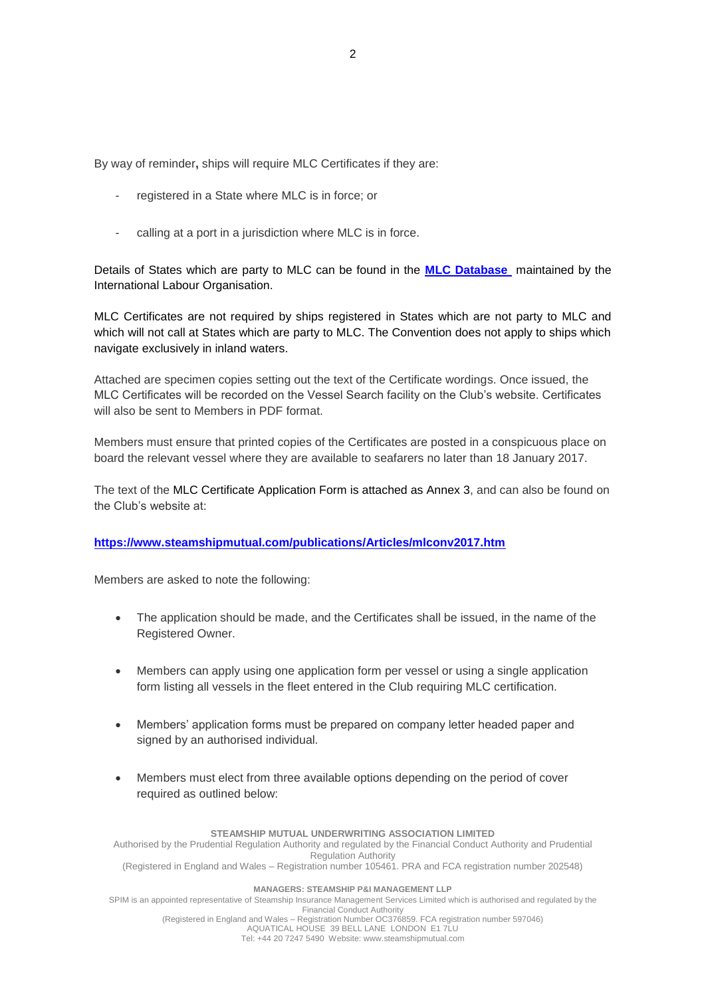By way of reminder**,** ships will require MLC Certificates if they are:

- registered in a State where MLC is in force; or
- calling at a port in a jurisdiction where MLC is in force.

Details of States which are party to MLC can be found in the **[MLC Database](http://www.ilo.org/global/standards/maritime-labour-convention/database-ratification-implementation/lang--en/index.htm)** maintained by the International Labour Organisation.

MLC Certificates are not required by ships registered in States which are not party to MLC and which will not call at States which are party to MLC. The Convention does not apply to ships which navigate exclusively in inland waters.

Attached are specimen copies setting out the text of the Certificate wordings. Once issued, the MLC Certificates will be recorded on the Vessel Search facility on the Club's website. Certificates will also be sent to Members in PDF format.

Members must ensure that printed copies of the Certificates are posted in a conspicuous place on board the relevant vessel where they are available to seafarers no later than 18 January 2017.

The text of the MLC Certificate Application Form is attached as Annex 3, and can also be found on the Club's website at:

#### **<https://www.steamshipmutual.com/publications/Articles/mlconv2017.htm>**

Members are asked to note the following:

- The application should be made, and the Certificates shall be issued, in the name of the Registered Owner.
- Members can apply using one application form per vessel or using a single application form listing all vessels in the fleet entered in the Club requiring MLC certification.
- Members' application forms must be prepared on company letter headed paper and signed by an authorised individual.
- Members must elect from three available options depending on the period of cover required as outlined below:

#### **STEAMSHIP MUTUAL UNDERWRITING ASSOCIATION LIMITED**

Authorised by the Prudential Regulation Authority and regulated by the Financial Conduct Authority and Prudential Regulation Authority

(Registered in England and Wales – Registration number 105461. PRA and FCA registration number 202548)

#### **MANAGERS: STEAMSHIP P&I MANAGEMENT LLP**

SPIM is an appointed representative of Steamship Insurance Management Services Limited which is authorised and regulated by the Financial Conduct Authority

(Registered in England and Wales – Registration Number OC376859. FCA registration number 597046) AQUATICAL HOUSE 39 BELL LANE LONDON E1 7LU Tel: +44 20 7247 5490 Website: [www.steamshipmutual.com](http://www.steamshipmutual.com/)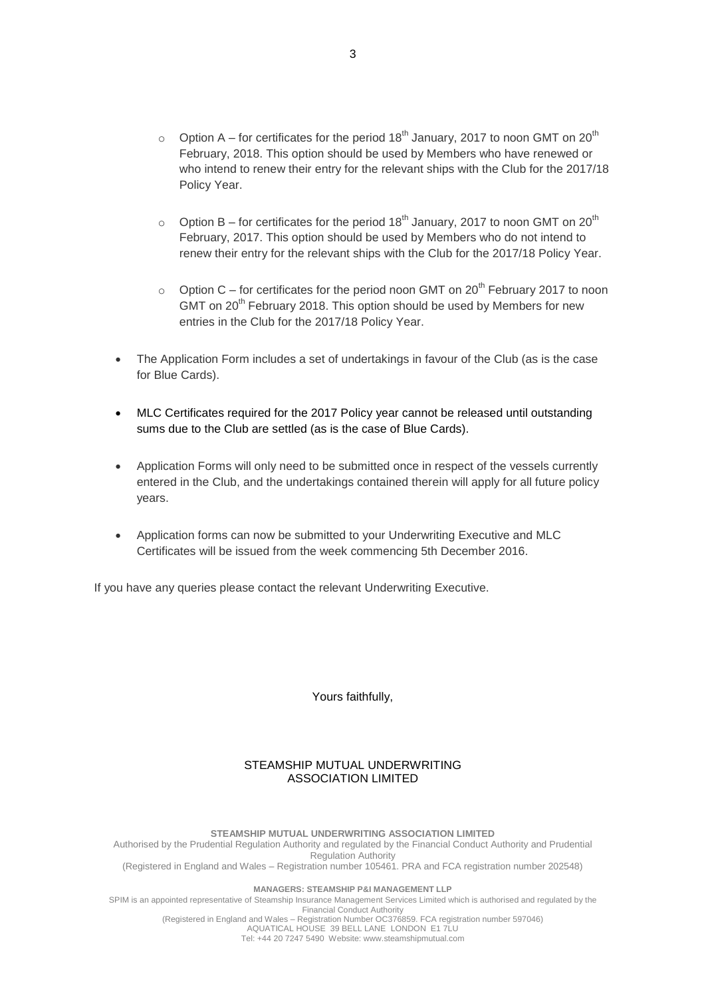- $\circ$  Option A for certificates for the period 18<sup>th</sup> January, 2017 to noon GMT on 20<sup>th</sup> February, 2018. This option should be used by Members who have renewed or who intend to renew their entry for the relevant ships with the Club for the 2017/18 Policy Year.
- o Option B for certificates for the period  $18^{th}$  January, 2017 to noon GMT on 20<sup>th</sup> February, 2017. This option should be used by Members who do not intend to renew their entry for the relevant ships with the Club for the 2017/18 Policy Year.
- o Option C for certificates for the period noon GMT on  $20^{th}$  February 2017 to noon GMT on 20<sup>th</sup> February 2018. This option should be used by Members for new entries in the Club for the 2017/18 Policy Year.
- The Application Form includes a set of undertakings in favour of the Club (as is the case for Blue Cards).
- MLC Certificates required for the 2017 Policy year cannot be released until outstanding sums due to the Club are settled (as is the case of Blue Cards).
- Application Forms will only need to be submitted once in respect of the vessels currently entered in the Club, and the undertakings contained therein will apply for all future policy years.
- Application forms can now be submitted to your Underwriting Executive and MLC Certificates will be issued from the week commencing 5th December 2016.

If you have any queries please contact the relevant Underwriting Executive.

Yours faithfully,

#### STEAMSHIP MUTUAL UNDERWRITING ASSOCIATION LIMITED

**STEAMSHIP MUTUAL UNDERWRITING ASSOCIATION LIMITED** Authorised by the Prudential Regulation Authority and regulated by the Financial Conduct Authority and Prudential Regulation Authority (Registered in England and Wales – Registration number 105461. PRA and FCA registration number 202548)

**MANAGERS: STEAMSHIP P&I MANAGEMENT LLP**

SPIM is an appointed representative of Steamship Insurance Management Services Limited which is authorised and regulated by the Financial Conduct Authority

(Registered in England and Wales – Registration Number OC376859. FCA registration number 597046) AQUATICAL HOUSE 39 BELL LANE LONDON E1 7LU Tel: +44 20 7247 5490 Website: [www.steamshipmutual.com](http://www.steamshipmutual.com/)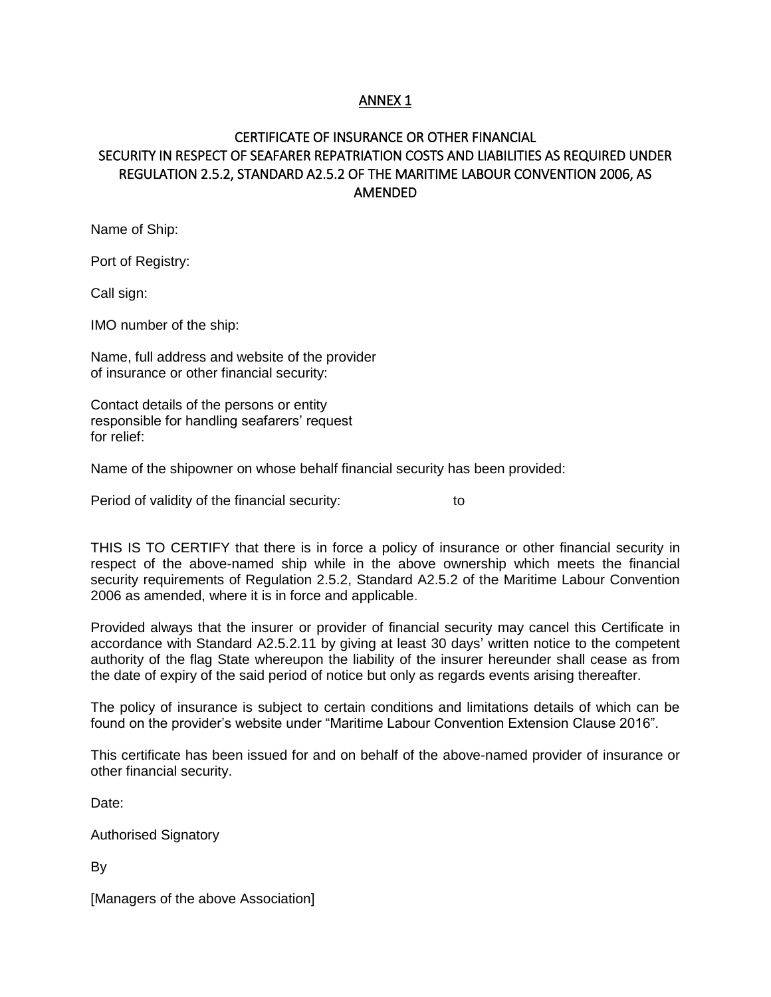## ANNEX 1

# CERTIFICATE OF INSURANCE OR OTHER FINANCIAL SECURITY IN RESPECT OF SEAFARER REPATRIATION COSTS AND LIABILITIES AS REQUIRED UNDER REGULATION 2.5.2, STANDARD A2.5.2 OF THE MARITIME LABOUR CONVENTION 2006, AS AMENDED

Name of Ship:

Port of Registry:

Call sign:

IMO number of the ship:

Name, full address and website of the provider of insurance or other financial security:

Contact details of the persons or entity responsible for handling seafarers' request for relief:

Name of the shipowner on whose behalf financial security has been provided:

Period of validity of the financial security: to

THIS IS TO CERTIFY that there is in force a policy of insurance or other financial security in respect of the above-named ship while in the above ownership which meets the financial security requirements of Regulation 2.5.2, Standard A2.5.2 of the Maritime Labour Convention 2006 as amended, where it is in force and applicable.

Provided always that the insurer or provider of financial security may cancel this Certificate in accordance with Standard A2.5.2.11 by giving at least 30 days' written notice to the competent authority of the flag State whereupon the liability of the insurer hereunder shall cease as from the date of expiry of the said period of notice but only as regards events arising thereafter.

The policy of insurance is subject to certain conditions and limitations details of which can be found on the provider's website under "Maritime Labour Convention Extension Clause 2016".

This certificate has been issued for and on behalf of the above-named provider of insurance or other financial security.

Date:

Authorised Signatory

By

[Managers of the above Association]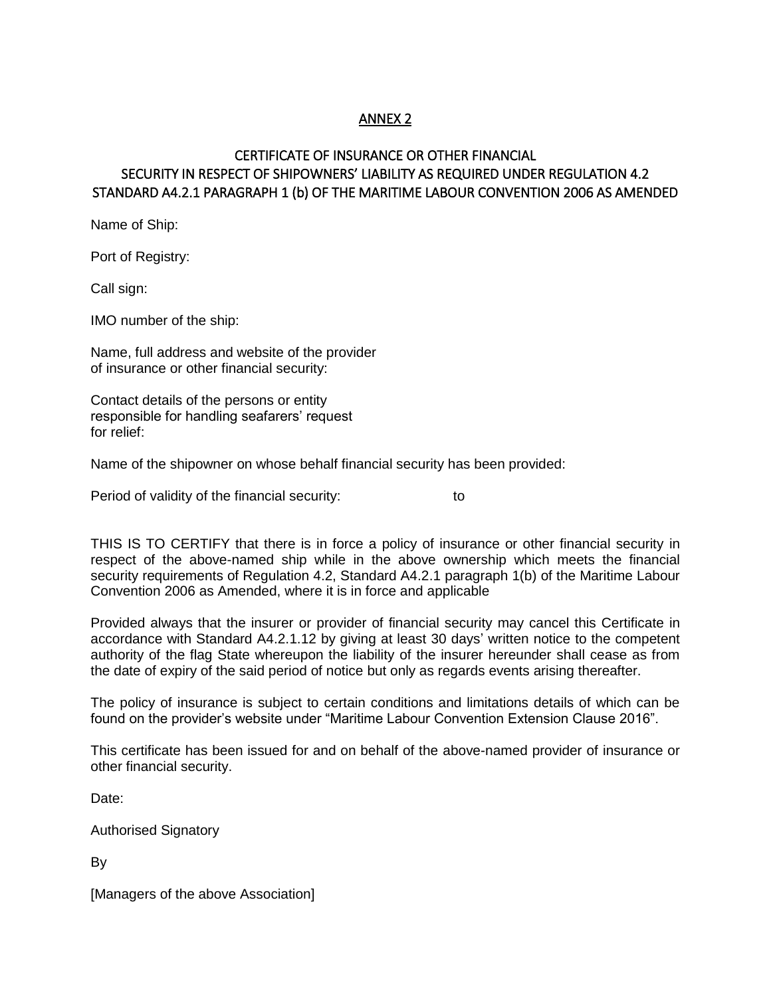## ANNEX 2

## CERTIFICATE OF INSURANCE OR OTHER FINANCIAL SECURITY IN RESPECT OF SHIPOWNERS' LIABILITY AS REQUIRED UNDER REGULATION 4.2 STANDARD A4.2.1 PARAGRAPH 1 (b) OF THE MARITIME LABOUR CONVENTION 2006 AS AMENDED

Name of Ship:

Port of Registry:

Call sign:

IMO number of the ship:

Name, full address and website of the provider of insurance or other financial security:

Contact details of the persons or entity responsible for handling seafarers' request for relief:

Name of the shipowner on whose behalf financial security has been provided:

Period of validity of the financial security: to to

THIS IS TO CERTIFY that there is in force a policy of insurance or other financial security in respect of the above-named ship while in the above ownership which meets the financial security requirements of Regulation 4.2, Standard A4.2.1 paragraph 1(b) of the Maritime Labour Convention 2006 as Amended, where it is in force and applicable

Provided always that the insurer or provider of financial security may cancel this Certificate in accordance with Standard A4.2.1.12 by giving at least 30 days' written notice to the competent authority of the flag State whereupon the liability of the insurer hereunder shall cease as from the date of expiry of the said period of notice but only as regards events arising thereafter.

The policy of insurance is subject to certain conditions and limitations details of which can be found on the provider's website under "Maritime Labour Convention Extension Clause 2016".

This certificate has been issued for and on behalf of the above-named provider of insurance or other financial security.

Date:

Authorised Signatory

By

[Managers of the above Association]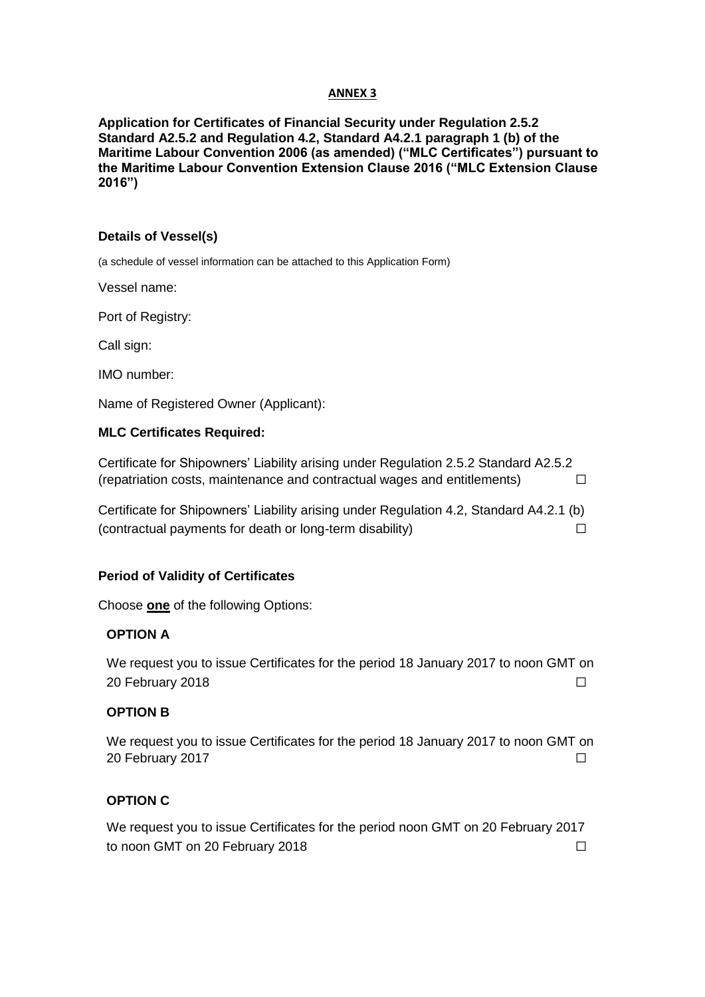#### **ANNEX 3**

**Application for Certificates of Financial Security under Regulation 2.5.2 Standard A2.5.2 and Regulation 4.2, Standard A4.2.1 paragraph 1 (b) of the Maritime Labour Convention 2006 (as amended) ("MLC Certificates") pursuant to the Maritime Labour Convention Extension Clause 2016 ("MLC Extension Clause 2016")**

## **Details of Vessel(s)**

(a schedule of vessel information can be attached to this Application Form)

Vessel name:

Port of Registry:

Call sign:

IMO number:

Name of Registered Owner (Applicant):

## **MLC Certificates Required:**

Certificate for Shipowners' Liability arising under Regulation 2.5.2 Standard A2.5.2 (repatriation costs, maintenance and contractual wages and entitlements)  $\Box$ 

Certificate for Shipowners' Liability arising under Regulation 4.2, Standard A4.2.1 (b) (contractual payments for death or long-term disability)  $\Box$ 

## **Period of Validity of Certificates**

Choose **one** of the following Options:

## **OPTION A**

We request you to issue Certificates for the period 18 January 2017 to noon GMT on 20 February 2018 <del>◯</del> ା

## **OPTION B**

We request you to issue Certificates for the period 18 January 2017 to noon GMT on 20 February 2017 ☐

## **OPTION C**

We request you to issue Certificates for the period noon GMT on 20 February 2017 to noon GMT on 20 February 2018 **◯**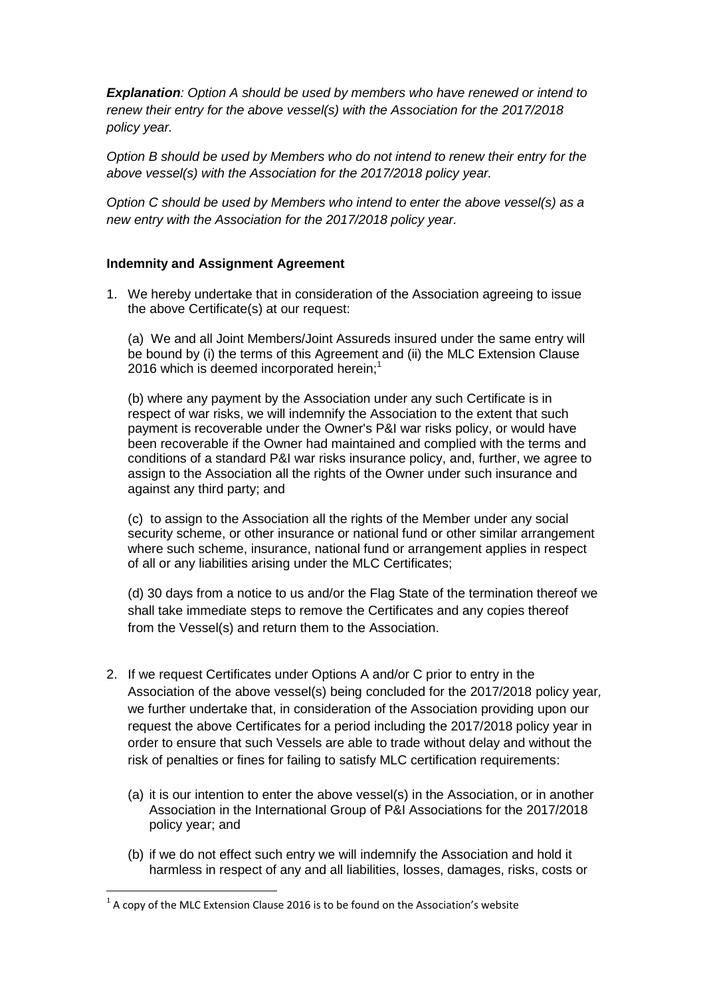*Explanation: Option A should be used by members who have renewed or intend to renew their entry for the above vessel(s) with the Association for the 2017/2018 policy year.*

*Option B should be used by Members who do not intend to renew their entry for the above vessel(s) with the Association for the 2017/2018 policy year.* 

*Option C should be used by Members who intend to enter the above vessel(s) as a new entry with the Association for the 2017/2018 policy year.* 

## **Indemnity and Assignment Agreement**

1. We hereby undertake that in consideration of the Association agreeing to issue the above Certificate(s) at our request:

(a) We and all Joint Members/Joint Assureds insured under the same entry will be bound by (i) the terms of this Agreement and (ii) the MLC Extension Clause 2016 which is deemed incorporated herein;<sup>1</sup>

(b) where any payment by the Association under any such Certificate is in respect of war risks, we will indemnify the Association to the extent that such payment is recoverable under the Owner's P&I war risks policy, or would have been recoverable if the Owner had maintained and complied with the terms and conditions of a standard P&I war risks insurance policy, and, further, we agree to assign to the Association all the rights of the Owner under such insurance and against any third party; and

(c) to assign to the Association all the rights of the Member under any social security scheme, or other insurance or national fund or other similar arrangement where such scheme, insurance, national fund or arrangement applies in respect of all or any liabilities arising under the MLC Certificates;

(d) 30 days from a notice to us and/or the Flag State of the termination thereof we shall take immediate steps to remove the Certificates and any copies thereof from the Vessel(s) and return them to the Association.

- 2. If we request Certificates under Options A and/or C prior to entry in the Association of the above vessel(s) being concluded for the 2017/2018 policy year*,*  we further undertake that, in consideration of the Association providing upon our request the above Certificates for a period including the 2017/2018 policy year in order to ensure that such Vessels are able to trade without delay and without the risk of penalties or fines for failing to satisfy MLC certification requirements:
	- (a) it is our intention to enter the above vessel(s) in the Association, or in another Association in the International Group of P&I Associations for the 2017/2018 policy year; and
	- (b) if we do not effect such entry we will indemnify the Association and hold it harmless in respect of any and all liabilities, losses, damages, risks, costs or

**.** 

 $<sup>1</sup>$  A copy of the MLC Extension Clause 2016 is to be found on the Association's website</sup>